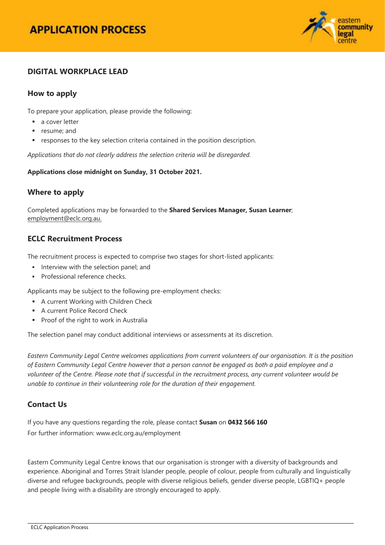

# **DIGITAL WORKPLACE LEAD**

### **How to apply**

To prepare your application, please provide the following:

- a cover letter
- **resume**; and
- responses to the key selection criteria contained in the position description.

*Applications that do not clearly address the selection criteria will be disregarded.*

**Applications close midnight on Sunday, 31 October 2021.**

### **Where to apply**

Completed applications may be forwarded to the **Shared Services Manager, Susan Learner**; [employment@eclc.org.au.](mailto:employment@eclc.org.au)

### **ECLC Recruitment Process**

The recruitment process is expected to comprise two stages for short-listed applicants:

- Interview with the selection panel: and
- **Professional reference checks.**

Applicants may be subject to the following pre-employment checks:

- **A current Working with Children Check**
- **A current Police Record Check**
- **Proof of the right to work in Australia**

The selection panel may conduct additional interviews or assessments at its discretion.

*Eastern Community Legal Centre welcomes applications from current volunteers of our organisation. It is the position of Eastern Community Legal Centre however that a person cannot be engaged as both a paid employee and a volunteer of the Centre. Please note that if successful in the recruitment process, any current volunteer would be unable to continue in their volunteering role for the duration of their engagement.*

### **Contact Us**

If you have any questions regarding the role, please contact **Susan** on **0432 566 160** For further information[: www.eclc.org.au/employment](http://www.eclc.org.au/employment)

Eastern Community Legal Centre knows that our organisation is stronger with a diversity of backgrounds and experience. Aboriginal and Torres Strait Islander people, people of colour, people from culturally and linguistically diverse and refugee backgrounds, people with diverse religious beliefs, gender diverse people, LGBTIQ+ people and people living with a disability are strongly encouraged to apply.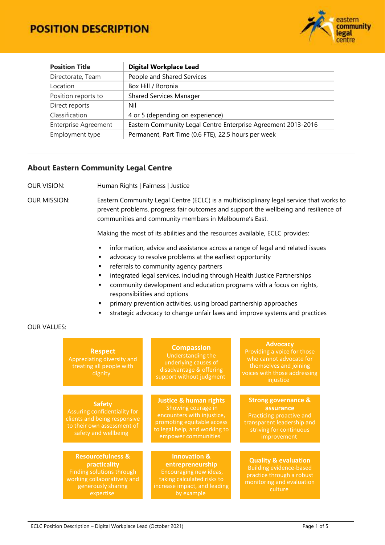# **POSITION DESCRIPTION**



| <b>Position Title</b>                                                                        | <b>Digital Workplace Lead</b>                       |  |  |
|----------------------------------------------------------------------------------------------|-----------------------------------------------------|--|--|
| Directorate, Team                                                                            | People and Shared Services                          |  |  |
| Location                                                                                     | Box Hill / Boronia                                  |  |  |
| Position reports to                                                                          | <b>Shared Services Manager</b>                      |  |  |
| Direct reports                                                                               | Nil                                                 |  |  |
| Classification<br>4 or 5 (depending on experience)                                           |                                                     |  |  |
| <b>Enterprise Agreement</b><br>Eastern Community Legal Centre Enterprise Agreement 2013-2016 |                                                     |  |  |
| Employment type                                                                              | Permanent, Part Time (0.6 FTE), 22.5 hours per week |  |  |

### **About Eastern Community Legal Centre**

OUR VISION: Human Rights | Fairness | Justice

OUR MISSION: Eastern Community Legal Centre (ECLC) is a multidisciplinary legal service that works to prevent problems, progress fair outcomes and support the wellbeing and resilience of communities and community members in Melbourne's East.

Making the most of its abilities and the resources available, ECLC provides:

- **·** information, advice and assistance across a range of legal and related issues
- **a** advocacy to resolve problems at the earliest opportunity
- **Fig. 2** referrals to community agency partners
- **EXEDENT Integrated legal services, including through Health Justice Partnerships**
- community development and education programs with a focus on rights, responsibilities and options
- primary prevention activities, using broad partnership approaches
- strategic advocacy to change unfair laws and improve systems and practices

#### OUR VALUES:

| <b>Respect</b><br>Appreciating diversity and<br>treating all people with<br>dignity                                                         | <b>Compassion</b><br>Understanding the<br>underlying causes of<br>disadvantage & offering<br>support without judgment                                                       | <b>Advocacy</b><br>Providing a voice for those<br>who cannot advocate for<br>themselves and joining<br>voices with those addressing<br>injustice |  |  |
|---------------------------------------------------------------------------------------------------------------------------------------------|-----------------------------------------------------------------------------------------------------------------------------------------------------------------------------|--------------------------------------------------------------------------------------------------------------------------------------------------|--|--|
|                                                                                                                                             |                                                                                                                                                                             |                                                                                                                                                  |  |  |
| <b>Safety</b><br>Assuring confidentiality for<br>clients and being responsive<br>to their own assessment of<br>safety and wellbeing         | <b>Justice &amp; human rights</b><br>Showing courage in<br>encounters with injustice,<br>promoting equitable access<br>to legal help, and working to<br>empower communities | <b>Strong governance &amp;</b><br>assurance<br>Practicing proactive and<br>transparent leadership and<br>striving for continuous<br>improvement  |  |  |
|                                                                                                                                             |                                                                                                                                                                             |                                                                                                                                                  |  |  |
| <b>Resourcefulness &amp;</b><br>practicality<br>Finding solutions through<br>working collaboratively and<br>generously sharing<br>expertise | <b>Innovation &amp;</b><br>entrepreneurship<br>Encouraging new ideas,<br>taking calculated risks to<br>increase impact, and leading<br>by example                           | <b>Quality &amp; evaluation</b><br><b>Building evidence-based</b><br>practice through a robust<br>monitoring and evaluation<br>culture           |  |  |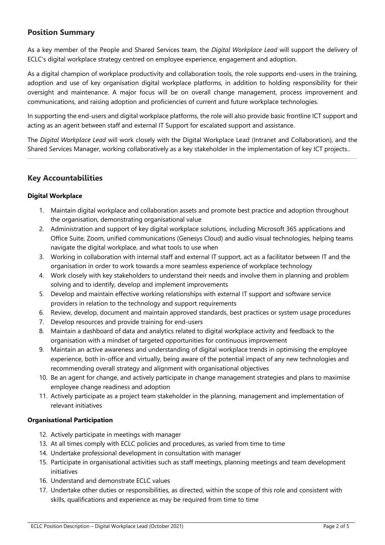### **Position Summary**

As a key member of the People and Shared Services team, the *Digital Workplace Lead* will support the delivery of ECLC's digital workplace strategy centred on employee experience, engagement and adoption.

As a digital champion of workplace productivity and collaboration tools, the role supports end-users in the training, adoption and use of key organisation digital workplace platforms, in addition to holding responsibility for their oversight and maintenance. A major focus will be on overall change management, process improvement and communications, and raising adoption and proficiencies of current and future workplace technologies.

In supporting the end-users and digital workplace platforms, the role will also provide basic frontline ICT support and acting as an agent between staff and external IT Support for escalated support and assistance.

The *Digital Workplace Lead* will work closely with the Digital Workplace Lead (Intranet and Collaboration), and the Shared Services Manager, working collaboratively as a key stakeholder in the implementation of key ICT projects..

### **Key Accountabilities**

### **Digital Workplace**

- 1. Maintain digital workplace and collaboration assets and promote best practice and adoption throughout the organisation, demonstrating organisational value
- 2. Administration and support of key digital workplace solutions, including Microsoft 365 applications and Office Suite, Zoom, unified communications (Genesys Cloud) and audio visual technologies, helping teams navigate the digital workplace, and what tools to use when
- 3. Working in collaboration with internal staff and external IT support, act as a facilitator between IT and the organisation in order to work towards a more seamless experience of workplace technology
- 4. Work closely with key stakeholders to understand their needs and involve them in planning and problem solving and to identify, develop and implement improvements
- 5. Develop and maintain effective working relationships with external IT support and software service providers in relation to the technology and support requirements
- 6. Review, develop, document and maintain approved standards, best practices or system usage procedures
- 7. Develop resources and provide training for end-users
- 8. Maintain a dashboard of data and analytics related to digital workplace activity and feedback to the organisation with a mindset of targeted opportunities for continuous improvement
- 9. Maintain an active awareness and understanding of digital workplace trends in optimising the employee experience, both in-office and virtually, being aware of the potential impact of any new technologies and recommending overall strategy and alignment with organisational objectives
- 10. Be an agent for change, and actively participate in change management strategies and plans to maximise employee change readiness and adoption
- 11. Actively participate as a project team stakeholder in the planning, management and implementation of relevant initiatives

#### **Organisational Participation**

- 12. Actively participate in meetings with manager
- 13. At all times comply with ECLC policies and procedures, as varied from time to time
- 14. Undertake professional development in consultation with manager
- 15. Participate in organisational activities such as staff meetings, planning meetings and team development initiatives
- 16. Understand and demonstrate ECLC values
- 17. Undertake other duties or responsibilities, as directed, within the scope of this role and consistent with skills, qualifications and experience as may be required from time to time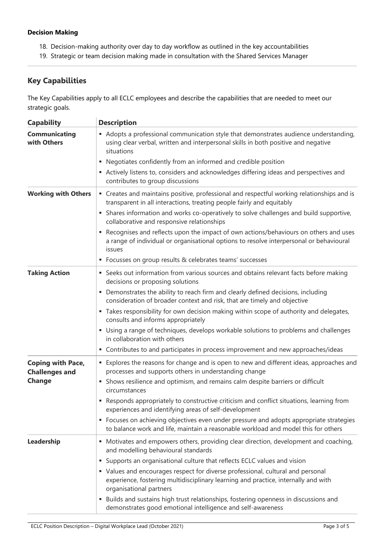### **Decision Making**

- 18. Decision-making authority over day to day workflow as outlined in the key accountabilities
- 19. Strategic or team decision making made in consultation with the Shared Services Manager

# **Key Capabilities**

The Key Capabilities apply to all ECLC employees and describe the capabilities that are needed to meet our strategic goals.

| <b>Capability</b>                                 | <b>Description</b>                                                                                                                                                                               |  |  |
|---------------------------------------------------|--------------------------------------------------------------------------------------------------------------------------------------------------------------------------------------------------|--|--|
| <b>Communicating</b><br>with Others               | Adopts a professional communication style that demonstrates audience understanding,<br>using clear verbal, written and interpersonal skills in both positive and negative<br>situations          |  |  |
|                                                   | • Negotiates confidently from an informed and credible position                                                                                                                                  |  |  |
|                                                   | Actively listens to, considers and acknowledges differing ideas and perspectives and<br>contributes to group discussions                                                                         |  |  |
| <b>Working with Others</b>                        | " Creates and maintains positive, professional and respectful working relationships and is<br>transparent in all interactions, treating people fairly and equitably                              |  |  |
|                                                   | • Shares information and works co-operatively to solve challenges and build supportive,<br>collaborative and responsive relationships                                                            |  |  |
|                                                   | Recognises and reflects upon the impact of own actions/behaviours on others and uses<br>٠<br>a range of individual or organisational options to resolve interpersonal or behavioural<br>issues   |  |  |
|                                                   | • Focusses on group results & celebrates teams' successes                                                                                                                                        |  |  |
| <b>Taking Action</b>                              | • Seeks out information from various sources and obtains relevant facts before making<br>decisions or proposing solutions                                                                        |  |  |
|                                                   | Demonstrates the ability to reach firm and clearly defined decisions, including<br>٠<br>consideration of broader context and risk, that are timely and objective                                 |  |  |
|                                                   | " Takes responsibility for own decision making within scope of authority and delegates,<br>consults and informs appropriately                                                                    |  |  |
|                                                   | • Using a range of techniques, develops workable solutions to problems and challenges<br>in collaboration with others                                                                            |  |  |
|                                                   | • Contributes to and participates in process improvement and new approaches/ideas                                                                                                                |  |  |
| <b>Coping with Pace,</b><br><b>Challenges and</b> | • Explores the reasons for change and is open to new and different ideas, approaches and<br>processes and supports others in understanding change                                                |  |  |
| <b>Change</b>                                     | • Shows resilience and optimism, and remains calm despite barriers or difficult<br>circumstances                                                                                                 |  |  |
|                                                   | • Responds appropriately to constructive criticism and conflict situations, learning from<br>experiences and identifying areas of self-development                                               |  |  |
|                                                   | • Focuses on achieving objectives even under pressure and adopts appropriate strategies<br>to balance work and life, maintain a reasonable workload and model this for others                    |  |  |
| Leadership                                        | • Motivates and empowers others, providing clear direction, development and coaching,<br>and modelling behavioural standards                                                                     |  |  |
|                                                   | Supports an organisational culture that reflects ECLC values and vision<br>ш                                                                                                                     |  |  |
|                                                   | • Values and encourages respect for diverse professional, cultural and personal<br>experience, fostering multidisciplinary learning and practice, internally and with<br>organisational partners |  |  |
|                                                   | Builds and sustains high trust relationships, fostering openness in discussions and<br>ш<br>demonstrates good emotional intelligence and self-awareness                                          |  |  |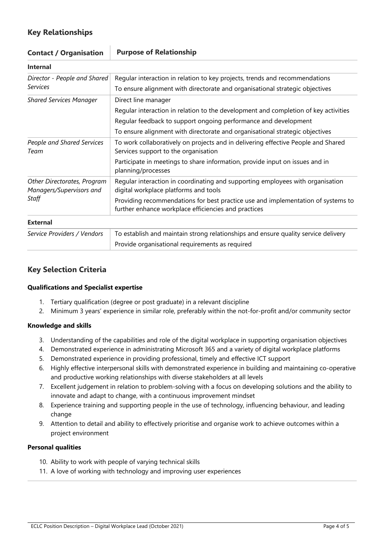# **Key Relationships**

| Contact / Organisation                                  | <b>Helpose of Kelationship</b>                                                                                                           |  |  |
|---------------------------------------------------------|------------------------------------------------------------------------------------------------------------------------------------------|--|--|
| <b>Internal</b>                                         |                                                                                                                                          |  |  |
| Director - People and Shared                            | Regular interaction in relation to key projects, trends and recommendations                                                              |  |  |
| <b>Services</b>                                         | To ensure alignment with directorate and organisational strategic objectives                                                             |  |  |
| <b>Shared Services Manager</b>                          | Direct line manager                                                                                                                      |  |  |
|                                                         | Regular interaction in relation to the development and completion of key activities                                                      |  |  |
|                                                         | Regular feedback to support ongoing performance and development                                                                          |  |  |
|                                                         | To ensure alignment with directorate and organisational strategic objectives                                                             |  |  |
| People and Shared Services<br>Team                      | To work collaboratively on projects and in delivering effective People and Shared<br>Services support to the organisation                |  |  |
|                                                         | Participate in meetings to share information, provide input on issues and in<br>planning/processes                                       |  |  |
| Other Directorates, Program<br>Managers/Supervisors and | Regular interaction in coordinating and supporting employees with organisation<br>digital workplace platforms and tools                  |  |  |
| Staff                                                   | Providing recommendations for best practice use and implementation of systems to<br>further enhance workplace efficiencies and practices |  |  |
| <b>External</b>                                         |                                                                                                                                          |  |  |
| Service Providers / Vendors                             | To establish and maintain strong relationships and ensure quality service delivery                                                       |  |  |
|                                                         | Provide organisational requirements as required                                                                                          |  |  |

# **Contact / Organisation Purpose of Relationship**

## **Key Selection Criteria**

### **Qualifications and Specialist expertise**

- 1. Tertiary qualification (degree or post graduate) in a relevant discipline
- 2. Minimum 3 years' experience in similar role, preferably within the not-for-profit and/or community sector

### **Knowledge and skills**

- 3. Understanding of the capabilities and role of the digital workplace in supporting organisation objectives
- 4. Demonstrated experience in administrating Microsoft 365 and a variety of digital workplace platforms
- 5. Demonstrated experience in providing professional, timely and effective ICT support
- 6. Highly effective interpersonal skills with demonstrated experience in building and maintaining co-operative and productive working relationships with diverse stakeholders at all levels
- 7. Excellent judgement in relation to problem-solving with a focus on developing solutions and the ability to innovate and adapt to change, with a continuous improvement mindset
- 8. Experience training and supporting people in the use of technology, influencing behaviour, and leading change
- 9. Attention to detail and ability to effectively prioritise and organise work to achieve outcomes within a project environment

### **Personal qualities**

- 10. Ability to work with people of varying technical skills
- 11. A love of working with technology and improving user experiences